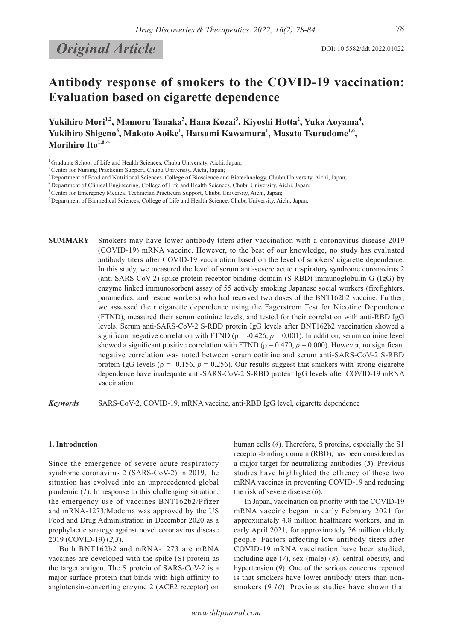# **Original Article** DOI: 10.5582/ddt.2022.01022

## **Antibody response of smokers to the COVID-19 vaccination: Evaluation based on cigarette dependence**

Yukihiro Mori<sup>1,2</sup>, Mamoru Tanaka<sup>3</sup>, Hana Kozai<sup>3</sup>, Kiyoshi Hotta<sup>2</sup>, Yuka Aoyama<sup>4</sup>, **Yukihiro Shigeno<sup>5</sup> , Makoto Aoike1 , Hatsumi Kawamura1 , Masato Tsurudome1,6, Morihiro Ito1,6,**\*

**SUMMARY** Smokers may have lower antibody titers after vaccination with a coronavirus disease 2019 (COVID-19) mRNA vaccine. However, to the best of our knowledge, no study has evaluated antibody titers after COVID-19 vaccination based on the level of smokers' cigarette dependence. In this study, we measured the level of serum anti-severe acute respiratory syndrome coronavirus 2 (anti-SARS-CoV-2) spike protein receptor-binding domain (S-RBD) immunoglobulin-G (IgG) by enzyme linked immunosorbent assay of 55 actively smoking Japanese social workers (firefighters, paramedics, and rescue workers) who had received two doses of the BNT162b2 vaccine. Further, we assessed their cigarette dependence using the Fagerstrom Test for Nicotine Dependence (FTND), measured their serum cotinine levels, and tested for their correlation with anti-RBD IgG levels. Serum anti-SARS-CoV-2 S-RBD protein IgG levels after BNT162b2 vaccination showed a significant negative correlation with FTND ( $\rho = -0.426$ ,  $p = 0.001$ ). In addition, serum cotinine level showed a significant positive correlation with FTND ( $\rho = 0.470$ ,  $p = 0.000$ ). However, no significant negative correlation was noted between serum cotinine and serum anti-SARS-CoV-2 S-RBD protein IgG levels ( $\rho = -0.156$ ,  $p = 0.256$ ). Our results suggest that smokers with strong cigarette dependence have inadequate anti-SARS-CoV-2 S-RBD protein IgG levels after COVID-19 mRNA vaccination.

*Keywords* SARS-CoV-2, COVID-19, mRNA vaccine, anti-RBD IgG level, cigarette dependence

## **1. Introduction**

Since the emergence of severe acute respiratory syndrome coronavirus 2 (SARS-CoV-2) in 2019, the situation has evolved into an unprecedented global pandemic (*1*). In response to this challenging situation, the emergency use of vaccines BNT162b2/Pfizer and mRNA-1273/Moderna was approved by the US Food and Drug Administration in December 2020 as a prophylactic strategy against novel coronavirus disease 2019 (COVID-19) (*2,3*).

Both BNT162b2 and mRNA-1273 are mRNA vaccines are developed with the spike (S) protein as the target antigen. The S protein of SARS-CoV-2 is a major surface protein that binds with high affinity to angiotensin-converting enzyme 2 (ACE2 receptor) on

human cells (*4*). Therefore, S proteins, especially the S1 receptor-binding domain (RBD), has been considered as a major target for neutralizing antibodies (*5*). Previous studies have highlighted the efficacy of these two mRNA vaccines in preventing COVID-19 and reducing the risk of severe disease (*6*).

In Japan, vaccination on priority with the COVID-19 mRNA vaccine began in early February 2021 for approximately 4.8 million healthcare workers, and in early April 2021, for approximately 36 million elderly people. Factors affecting low antibody titers after COVID-19 mRNA vaccination have been studied, including age (*7*), sex (male) (*8*), central obesity, and hypertension (*9*). One of the serious concerns reported is that smokers have lower antibody titers than nonsmokers (*9,10*). Previous studies have shown that

<sup>&</sup>lt;sup>1</sup> Graduate School of Life and Health Sciences, Chubu University, Aichi, Japan;

<sup>2</sup> Center for Nursing Practicum Support, Chubu University, Aichi, Japan;

<sup>&</sup>lt;sup>3</sup> Department of Food and Nutritional Sciences, College of Bioscience and Biotechnology, Chubu University, Aichi, Japan;

<sup>4</sup> Department of Clinical Engineering, College of Life and Health Sciences, Chubu University, Aichi, Japan;

<sup>&</sup>lt;sup>5</sup> Center for Emergency Medical Technician Practicum Support, Chubu University, Aichi, Japan;

<sup>6</sup> Department of Biomedical Sciences, College of Life and Health Science, Chubu University, Aichi, Japan.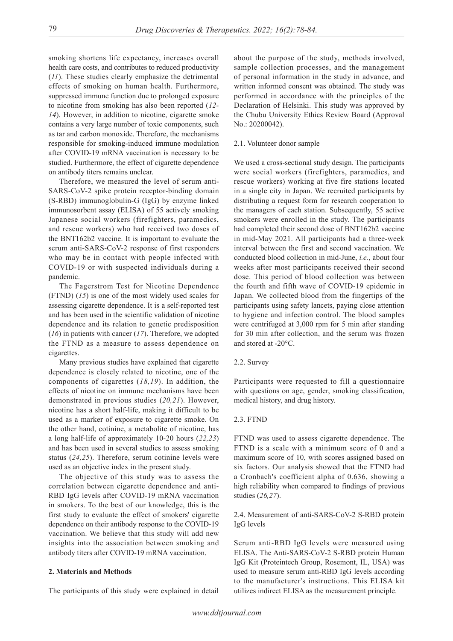smoking shortens life expectancy, increases overall health care costs, and contributes to reduced productivity (*11*). These studies clearly emphasize the detrimental effects of smoking on human health. Furthermore, suppressed immune function due to prolonged exposure to nicotine from smoking has also been reported (*12- 14*). However, in addition to nicotine, cigarette smoke contains a very large number of toxic components, such as tar and carbon monoxide. Therefore, the mechanisms responsible for smoking-induced immune modulation after COVID-19 mRNA vaccination is necessary to be studied. Furthermore, the effect of cigarette dependence on antibody titers remains unclear.

Therefore, we measured the level of serum anti-SARS-CoV-2 spike protein receptor-binding domain (S-RBD) immunoglobulin-G (IgG) by enzyme linked immunosorbent assay (ELISA) of 55 actively smoking Japanese social workers (firefighters, paramedics, and rescue workers) who had received two doses of the BNT162b2 vaccine. It is important to evaluate the serum anti-SARS-CoV-2 response of first responders who may be in contact with people infected with COVID-19 or with suspected individuals during a pandemic.

The Fagerstrom Test for Nicotine Dependence (FTND) (*15*) is one of the most widely used scales for assessing cigarette dependence. It is a self-reported test and has been used in the scientific validation of nicotine dependence and its relation to genetic predisposition (*16*) in patients with cancer (*17*). Therefore, we adopted the FTND as a measure to assess dependence on cigarettes.

Many previous studies have explained that cigarette dependence is closely related to nicotine, one of the components of cigarettes (*18,19*). In addition, the effects of nicotine on immune mechanisms have been demonstrated in previous studies (*20,21*). However, nicotine has a short half-life, making it difficult to be used as a marker of exposure to cigarette smoke. On the other hand, cotinine, a metabolite of nicotine, has a long half-life of approximately 10-20 hours (*22,23*) and has been used in several studies to assess smoking status (*24,25*). Therefore, serum cotinine levels were used as an objective index in the present study.

The objective of this study was to assess the correlation between cigarette dependence and anti-RBD IgG levels after COVID-19 mRNA vaccination in smokers. To the best of our knowledge, this is the first study to evaluate the effect of smokers' cigarette dependence on their antibody response to the COVID-19 vaccination. We believe that this study will add new insights into the association between smoking and antibody titers after COVID-19 mRNA vaccination.

### **2. Materials and Methods**

The participants of this study were explained in detail

about the purpose of the study, methods involved, sample collection processes, and the management of personal information in the study in advance, and written informed consent was obtained. The study was performed in accordance with the principles of the Declaration of Helsinki. This study was approved by the Chubu University Ethics Review Board (Approval No.: 20200042).

#### 2.1. Volunteer donor sample

We used a cross-sectional study design. The participants were social workers (firefighters, paramedics, and rescue workers) working at five fire stations located in a single city in Japan. We recruited participants by distributing a request form for research cooperation to the managers of each station. Subsequently, 55 active smokers were enrolled in the study. The participants had completed their second dose of BNT162b2 vaccine in mid-May 2021. All participants had a three-week interval between the first and second vaccination. We conducted blood collection in mid-June, *i.e.*, about four weeks after most participants received their second dose. This period of blood collection was between the fourth and fifth wave of COVID-19 epidemic in Japan. We collected blood from the fingertips of the participants using safety lancets, paying close attention to hygiene and infection control. The blood samples were centrifuged at 3,000 rpm for 5 min after standing for 30 min after collection, and the serum was frozen and stored at -20°C.

#### 2.2. Survey

Participants were requested to fill a questionnaire with questions on age, gender, smoking classification, medical history, and drug history.

#### 2.3. FTND

FTND was used to assess cigarette dependence. The FTND is a scale with a minimum score of 0 and a maximum score of 10, with scores assigned based on six factors. Our analysis showed that the FTND had a Cronbach's coefficient alpha of 0.636, showing a high reliability when compared to findings of previous studies (*26,27*).

2.4. Measurement of anti-SARS-CoV-2 S-RBD protein IgG levels

Serum anti-RBD IgG levels were measured using ELISA. The Anti-SARS-CoV-2 S-RBD protein Human IgG Kit (Proteintech Group, Rosemont, IL, USA) was used to measure serum anti-RBD IgG levels according to the manufacturer's instructions. This ELISA kit utilizes indirect ELISA as the measurement principle.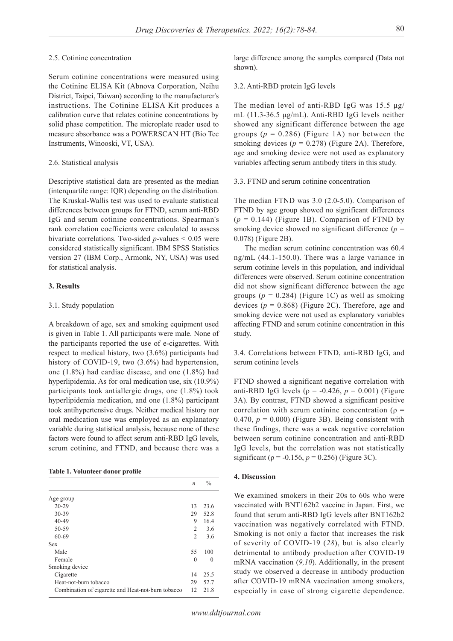#### 2.5. Cotinine concentration

Serum cotinine concentrations were measured using the Cotinine ELISA Kit (Abnova Corporation, Neihu District, Taipei, Taiwan) according to the manufacturer's instructions. The Cotinine ELISA Kit produces a calibration curve that relates cotinine concentrations by solid phase competition. The microplate reader used to measure absorbance was a POWERSCAN HT (Bio Tec Instruments, Winooski, VT, USA).

#### 2.6. Statistical analysis

Descriptive statistical data are presented as the median (interquartile range: IQR) depending on the distribution. The Kruskal-Wallis test was used to evaluate statistical differences between groups for FTND, serum anti-RBD IgG and serum cotinine concentrations. Spearman's rank correlation coefficients were calculated to assess bivariate correlations. Two-sided *p*-values < 0.05 were considered statistically significant. IBM SPSS Statistics version 27 (IBM Corp., Armonk, NY, USA) was used for statistical analysis.

### **3. Results**

#### 3.1. Study population

A breakdown of age, sex and smoking equipment used is given in Table 1. All participants were male. None of the participants reported the use of e-cigarettes. With respect to medical history, two (3.6%) participants had history of COVID-19, two  $(3.6\%)$  had hypertension, one (1.8%) had cardiac disease, and one (1.8%) had hyperlipidemia. As for oral medication use, six (10.9%) participants took antiallergic drugs, one (1.8%) took hyperlipidemia medication, and one (1.8%) participant took antihypertensive drugs. Neither medical history nor oral medication use was employed as an explanatory variable during statistical analysis, because none of these factors were found to affect serum anti-RBD IgG levels, serum cotinine, and FTND, and because there was a

#### **Table 1. Volunteer donor profile**

|                                                    | $\boldsymbol{n}$ | $\frac{0}{0}$ |
|----------------------------------------------------|------------------|---------------|
| Age group                                          |                  |               |
| $20 - 29$                                          | 13               | 23.6          |
| 30-39                                              | 29               | 52.8          |
| $40 - 49$                                          | 9                | 16.4          |
| 50-59                                              | 2                | 3.6           |
| 60-69                                              | $\overline{2}$   | 3.6           |
| Sex                                                |                  |               |
| Male                                               | 55               | 100           |
| Female                                             | $\theta$         | $\theta$      |
| Smoking device                                     |                  |               |
| Cigarette                                          | 14               | 25.5          |
| Heat-not-burn tobacco                              | 29               | 52.7          |
| Combination of cigarette and Heat-not-burn tobacco | 12               | 21.8          |

*www.ddtjournal.com*

large difference among the samples compared (Data not shown).

#### 3.2. Anti-RBD protein IgG levels

The median level of anti-RBD IgG was 15.5 μg/ mL (11.3-36.5 μg/mL). Anti-RBD IgG levels neither showed any significant difference between the age groups  $(p = 0.286)$  (Figure 1A) nor between the smoking devices  $(p = 0.278)$  (Figure 2A). Therefore, age and smoking device were not used as explanatory variables affecting serum antibody titers in this study.

#### 3.3. FTND and serum cotinine concentration

The median FTND was 3.0 (2.0-5.0). Comparison of FTND by age group showed no significant differences  $(p = 0.144)$  (Figure 1B). Comparison of FTND by smoking device showed no significant difference  $(p =$ 0.078) (Figure 2B).

The median serum cotinine concentration was 60.4 ng/mL (44.1-150.0). There was a large variance in serum cotinine levels in this population, and individual differences were observed. Serum cotinine concentration did not show significant difference between the age groups  $(p = 0.284)$  (Figure 1C) as well as smoking devices  $(p = 0.868)$  (Figure 2C). Therefore, age and smoking device were not used as explanatory variables affecting FTND and serum cotinine concentration in this study.

3.4. Correlations between FTND, anti-RBD IgG, and serum cotinine levels

FTND showed a significant negative correlation with anti-RBD IgG levels ( $\rho = -0.426$ ,  $p = 0.001$ ) (Figure 3A). By contrast, FTND showed a significant positive correlation with serum cotinine concentration ( $\rho =$ 0.470,  $p = 0.000$ ) (Figure 3B). Being consistent with these findings, there was a weak negative correlation between serum cotinine concentration and anti-RBD IgG levels, but the correlation was not statistically significant ( $\rho = -0.156$ ,  $p = 0.256$ ) (Figure 3C).

#### **4. Discussion**

We examined smokers in their 20s to 60s who were vaccinated with BNT162b2 vaccine in Japan. First, we found that serum anti-RBD IgG levels after BNT162b2 vaccination was negatively correlated with FTND. Smoking is not only a factor that increases the risk of severity of COVID-19 (*28*), but is also clearly detrimental to antibody production after COVID-19 mRNA vaccination (*9,10*). Additionally, in the present study we observed a decrease in antibody production after COVID-19 mRNA vaccination among smokers, especially in case of strong cigarette dependence.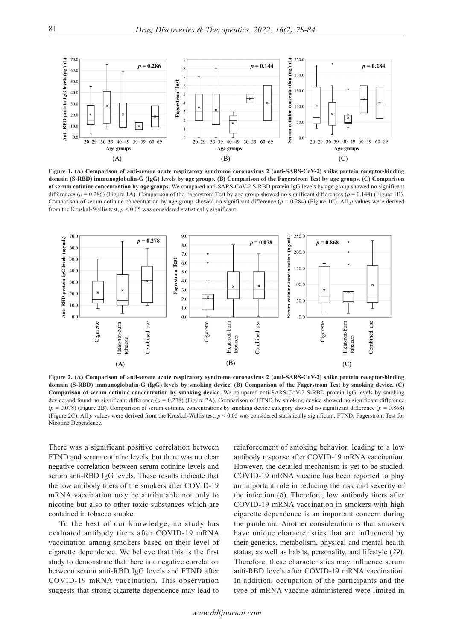

**Figure 1. (A) Comparison of anti-severe acute respiratory syndrome coronavirus 2 (anti-SARS-CoV-2) spike protein receptor-binding domain (S-RBD) immunoglobulin-G (IgG) levels by age groups. (B) Comparison of the Fagerstrom Test by age groups. (C) Comparison of serum cotinine concentration by age groups.** We compared anti-SARS-CoV-2 S-RBD protein IgG levels by age group showed no significant differences (*p* = 0.286) (Figure 1A). Comparison of the Fagerstrom Test by age group showed no significant differences (*p* = 0.144) (Figure 1B). Comparison of serum cotinine concentration by age group showed no significant difference (*p* = 0.284) (Figure 1C). All *p* values were derived from the Kruskal-Wallis test,  $p \le 0.05$  was considered statistically significant.



**Figure 2. (A) Comparison of anti-severe acute respiratory syndrome coronavirus 2 (anti-SARS-CoV-2) spike protein receptor-binding domain (S-RBD) immunoglobulin-G (IgG) levels by smoking device. (B) Comparison of the Fagerstrom Test by smoking device. (C) Comparison of serum cotinine concentration by smoking device.** We compared anti-SARS-CoV-2 S-RBD protein IgG levels by smoking device and found no significant difference (*p* = 0.278) (Figure 2A). Comparison of FTND by smoking device showed no significant difference (*p* = 0.078) (Figure 2B). Comparison of serum cotinine concentrations by smoking device category showed no significant difference (*p* = 0.868) (Figure 2C). All *p* values were derived from the Kruskal-Wallis test, *p* < 0.05 was considered statistically significant. FTND; Fagerstrom Test for Nicotine Dependence.

There was a significant positive correlation between FTND and serum cotinine levels, but there was no clear negative correlation between serum cotinine levels and serum anti-RBD IgG levels. These results indicate that the low antibody titers of the smokers after COVID-19 mRNA vaccination may be attributable not only to nicotine but also to other toxic substances which are contained in tobacco smoke.

To the best of our knowledge, no study has evaluated antibody titers after COVID-19 mRNA vaccination among smokers based on their level of cigarette dependence. We believe that this is the first study to demonstrate that there is a negative correlation between serum anti-RBD IgG levels and FTND after COVID-19 mRNA vaccination. This observation suggests that strong cigarette dependence may lead to

reinforcement of smoking behavior, leading to a low antibody response after COVID-19 mRNA vaccination. However, the detailed mechanism is yet to be studied. COVID-19 mRNA vaccine has been reported to play an important role in reducing the risk and severity of the infection (*6*). Therefore, low antibody titers after COVID-19 mRNA vaccination in smokers with high cigarette dependence is an important concern during the pandemic. Another consideration is that smokers have unique characteristics that are influenced by their genetics, metabolism, physical and mental health status, as well as habits, personality, and lifestyle (*29*). Therefore, these characteristics may influence serum anti-RBD levels after COVID-19 mRNA vaccination. In addition, occupation of the participants and the type of mRNA vaccine administered were limited in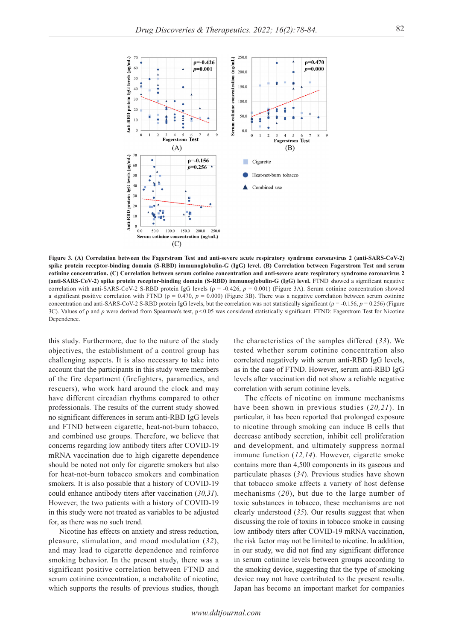

**Figure 3. (A) Correlation between the Fagerstrom Test and anti-severe acute respiratory syndrome coronavirus 2 (anti-SARS-CoV-2) spike protein receptor-binding domain (S-RBD) immunoglobulin-G (IgG) level. (B) Correlation between Fagerstrom Test and serum cotinine concentration. (C) Correlation between serum cotinine concentration and anti-severe acute respiratory syndrome coronavirus 2 (anti-SARS-CoV-2) spike protein receptor-binding domain (S-RBD) immunoglobulin-G (IgG) level.** FTND showed a significant negative correlation with anti-SARS-CoV-2 S-RBD protein IgG levels (ρ = -0.426, *p* = 0.001) (Figure 3A). Serum cotinine concentration showed a significant positive correlation with FTND ( $\rho = 0.470$ ,  $p = 0.000$ ) (Figure 3B). There was a negative correlation between serum cotinine concentration and anti-SARS-CoV-2 S-RBD protein IgG levels, but the correlation was not statistically significant (ρ = -0.156, *p* = 0.256) (Figure 3C). Values of ρ and *p* were derived from Spearman's test, p<0.05 was considered statistically significant. FTND: Fagerstrom Test for Nicotine Dependence.

this study. Furthermore, due to the nature of the study objectives, the establishment of a control group has challenging aspects. It is also necessary to take into account that the participants in this study were members of the fire department (firefighters, paramedics, and rescuers), who work hard around the clock and may have different circadian rhythms compared to other professionals. The results of the current study showed no significant differences in serum anti-RBD IgG levels and FTND between cigarette, heat-not-burn tobacco, and combined use groups. Therefore, we believe that concerns regarding low antibody titers after COVID-19 mRNA vaccination due to high cigarette dependence should be noted not only for cigarette smokers but also for heat-not-burn tobacco smokers and combination smokers. It is also possible that a history of COVID-19 could enhance antibody titers after vaccination (*30,31*). However, the two patients with a history of COVID-19 in this study were not treated as variables to be adjusted for, as there was no such trend.

Nicotine has effects on anxiety and stress reduction, pleasure, stimulation, and mood modulation (*32*), and may lead to cigarette dependence and reinforce smoking behavior. In the present study, there was a significant positive correlation between FTND and serum cotinine concentration, a metabolite of nicotine, which supports the results of previous studies, though

the characteristics of the samples differed (*33*). We tested whether serum cotinine concentration also correlated negatively with serum anti-RBD IgG levels, as in the case of FTND. However, serum anti-RBD IgG levels after vaccination did not show a reliable negative correlation with serum cotinine levels.

The effects of nicotine on immune mechanisms have been shown in previous studies (*20,21*). In particular, it has been reported that prolonged exposure to nicotine through smoking can induce B cells that decrease antibody secretion, inhibit cell proliferation and development, and ultimately suppress normal immune function (*12,14*). However, cigarette smoke contains more than 4,500 components in its gaseous and particulate phases (*34*). Previous studies have shown that tobacco smoke affects a variety of host defense mechanisms (*20*), but due to the large number of toxic substances in tobacco, these mechanisms are not clearly understood (*35*). Our results suggest that when discussing the role of toxins in tobacco smoke in causing low antibody titers after COVID-19 mRNA vaccination, the risk factor may not be limited to nicotine. In addition, in our study, we did not find any significant difference in serum cotinine levels between groups according to the smoking device, suggesting that the type of smoking device may not have contributed to the present results. Japan has become an important market for companies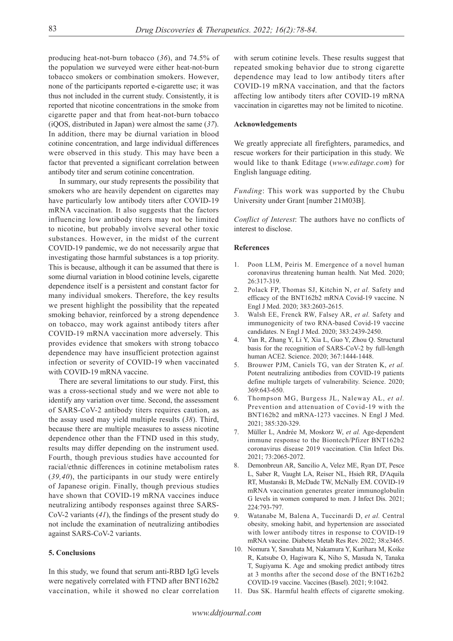producing heat-not-burn tobacco (*36*), and 74.5% of the population we surveyed were either heat-not-burn tobacco smokers or combination smokers. However, none of the participants reported e-cigarette use; it was thus not included in the current study. Consistently, it is reported that nicotine concentrations in the smoke from cigarette paper and that from heat-not-burn tobacco (iQOS, distributed in Japan) were almost the same (*37*). In addition, there may be diurnal variation in blood cotinine concentration, and large individual differences were observed in this study. This may have been a factor that prevented a significant correlation between antibody titer and serum cotinine concentration.

In summary, our study represents the possibility that smokers who are heavily dependent on cigarettes may have particularly low antibody titers after COVID-19 mRNA vaccination. It also suggests that the factors influencing low antibody titers may not be limited to nicotine, but probably involve several other toxic substances. However, in the midst of the current COVID-19 pandemic, we do not necessarily argue that investigating those harmful substances is a top priority. This is because, although it can be assumed that there is some diurnal variation in blood cotinine levels, cigarette dependence itself is a persistent and constant factor for many individual smokers. Therefore, the key results we present highlight the possibility that the repeated smoking behavior, reinforced by a strong dependence on tobacco, may work against antibody titers after COVID-19 mRNA vaccination more adversely. This provides evidence that smokers with strong tobacco dependence may have insufficient protection against infection or severity of COVID-19 when vaccinated with COVID-19 mRNA vaccine.

There are several limitations to our study. First, this was a cross-sectional study and we were not able to identify any variation over time. Second, the assessment of SARS-CoV-2 antibody titers requires caution, as the assay used may yield multiple results (*38*). Third, because there are multiple measures to assess nicotine dependence other than the FTND used in this study, results may differ depending on the instrument used. Fourth, though previous studies have accounted for racial/ethnic differences in cotinine metabolism rates (*39,40*), the participants in our study were entirely of Japanese origin. Finally, though previous studies have shown that COVID-19 mRNA vaccines induce neutralizing antibody responses against three SARS-CoV-2 variants (*41*), the findings of the present study do not include the examination of neutralizing antibodies against SARS-CoV-2 variants.

## **5. Conclusions**

In this study, we found that serum anti-RBD IgG levels were negatively correlated with FTND after BNT162b2 vaccination, while it showed no clear correlation with serum cotinine levels. These results suggest that repeated smoking behavior due to strong cigarette dependence may lead to low antibody titers after COVID-19 mRNA vaccination, and that the factors affecting low antibody titers after COVID-19 mRNA vaccination in cigarettes may not be limited to nicotine.

## **Acknowledgements**

We greatly appreciate all firefighters, paramedics, and rescue workers for their participation in this study. We would like to thank Editage (*www.editage.com*) for English language editing.

*Funding*: This work was supported by the Chubu University under Grant [number 21M03B].

*Conflict of Interest*: The authors have no conflicts of interest to disclose.

#### **References**

- Poon LLM, Peiris M. Emergence of a novel human coronavirus threatening human health. Nat Med. 2020; 26:317-319.
- 2. Polack FP, Thomas SJ, Kitchin N, *et al.* Safety and efficacy of the BNT162b2 mRNA Covid-19 vaccine. N Engl J Med. 2020; 383:2603-2615.
- 3. Walsh EE, Frenck RW, Falsey AR, *et al.* Safety and immunogenicity of two RNA-based Covid-19 vaccine candidates. N Engl J Med. 2020; 383:2439-2450.
- 4. Yan R, Zhang Y, Li Y, Xia L, Guo Y, Zhou Q. Structural basis for the recognition of SARS-CoV-2 by full-length human ACE2. Science. 2020; 367:1444-1448.
- 5. Brouwer PJM, Caniels TG, van der Straten K, *et al.* Potent neutralizing antibodies from COVID-19 patients define multiple targets of vulnerability. Science. 2020; 369:643-650.
- 6. Thompson MG, Burgess JL, Naleway AL, *et al.* Prevention and attenuation of Covid-19 with the BNT162b2 and mRNA-1273 vaccines. N Engl J Med. 2021; 385:320-329.
- 7. Müller L, Andrée M, Moskorz W, *et al.* Age-dependent immune response to the Biontech/Pfizer BNT162b2 coronavirus disease 2019 vaccination. Clin Infect Dis. 2021; 73:2065-2072.
- 8. Demonbreun AR, Sancilio A, Velez ME, Ryan DT, Pesce L, Saber R, Vaught LA, Reiser NL, Hsieh RR, D'Aquila RT, Mustanski B, McDade TW, McNally EM. COVID-19 mRNA vaccination generates greater immunoglobulin G levels in women compared to men. J Infect Dis. 2021; 224:793-797.
- 9. Watanabe M, Balena A, Tuccinardi D, *et al.* Central obesity, smoking habit, and hypertension are associated with lower antibody titres in response to COVID‐19 mRNA vaccine. Diabetes Metab Res Rev. 2022; 38:e3465.
- 10. Nomura Y, Sawahata M, Nakamura Y, Kurihara M, Koike R, Katsube O, Hagiwara K, Niho S, Masuda N, Tanaka T, Sugiyama K. Age and smoking predict antibody titres at 3 months after the second dose of the BNT162b2 COVID-19 vaccine. Vaccines (Basel). 2021; 9:1042.
- 11. Das SK. Harmful health effects of cigarette smoking.